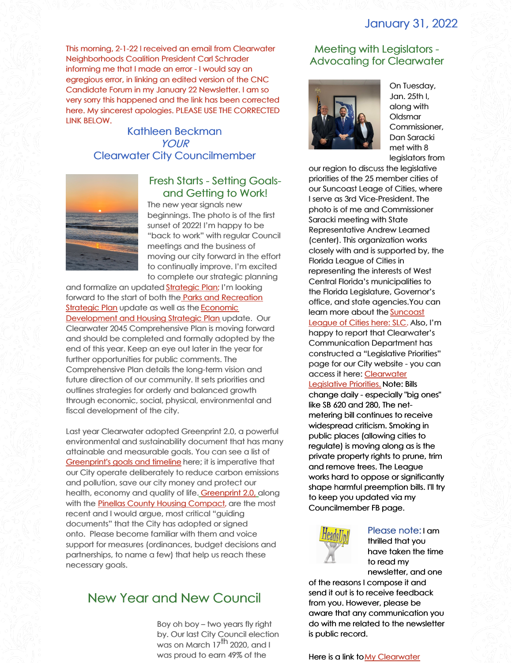# January 31, 2022

This morning, 2-1-22 I received an email from Clearwater Neighborhoods Coalition President Carl Schrader informing me that I made an error - I would say an egregious error, in linking an edited version of the CNC Candidate Forum in my January 22 Newsletter. I am so very sorry this happened and the link has been corrected here. My sincerest apologies. PLEASE USE THE CORRECTED LINK BELOW.

> Kathleen Beckman YOUR Clearwater City Councilmember



## Fresh Starts - Setting Goalsand Getting to Work!

The new year signals new beginnings. The photo is of the first sunset of 2022! I'm happy to be "back to work" with regular Council meetings and the business of moving our city forward in the effort to continually improve. I'm excited to complete our strategic planning

and formalize an updated [Strategic](https://www.myclearwater.com/government/city-departments/public-communications/documents-and-publications/20-year-strategic-vision) Plan; I'm looking forward to the start of both the Parks and [Recreation](https://icma.org/documents/parks-and-recreation-master-plan) Strategic Plan update as well as the **Economic** [Development](https://www.myclearwater.com/home/showpublisheddocument/2319/636210394931100000) and Housing Strategic Plan update. Our Clearwater 2045 Comprehensive Plan is moving forward and should be completed and formally adopted by the end of this year. Keep an eye out later in the year for further opportunities for public comments. The Comprehensive Plan details the long-term vision and future direction of our community. It sets priorities and outlines strategies for orderly and balanced growth through economic, social, physical, environmental and fiscal development of the city.

Last year Clearwater adopted Greenprint 2.0, a powerful environmental and sustainability document that has many attainable and measurable goals. You can see a list of [Greenprint's](https://files.constantcontact.com/a4b7cc82801/e549f0ec-4a99-474d-84d8-043ba110b14f.docx) goals and timeline here; it is imperative that our City operate deliberately to reduce carbon emissions and pollution, save our city money and protect our health, economy and quality of life. [Greenprint](https://www.myclearwater.com/government/city-departments/greenprint-clearwater-s-sustainability-plan) 2.0, along with the Pinellas County Housing [Compact](https://files.constantcontact.com/a4b7cc82801/bdf490b8-b156-4154-9eca-2e26800d4ce3.pdf), are the most recent and I would argue, most critical "guiding documents" that the City has adopted or signed onto. Please become familiar with them and voice support for measures (ordinances, budget decisions and partnerships, to name a few) that help us reach these necessary goals.

# New Year and New Council

Boy oh boy – two years fly right by. Our last City Council election was on March  $17^{\text{th}}$  2020, and I was proud to earn 49% of the

## Meeting with Legislators - Advocating for Clearwater



On Tuesday, Jan. 25th I, along with Oldsmar Commissioner, Dan Saracki met with 8 legislators from

our region to discuss the legislative priorities of the 25 member cities of our Suncoast Leage of Cities, where I serve as 3rd Vice-President. The photo is of me and Commissioner Saracki meeting with State Representative Andrew Learned (center). This organization works closely with and is supported by, the Florida League of Cities in representing the interests of West Central Florida's municipalities to the Florida Legislature, Governor's office, and state agencies.You can learn more about the **[Suncoast](https://suncoastleagueofcities.org/)** League of Cities here: SLC. Also, I'm happy to report that Clearwater's Communication Department has constructed a "Legislative Priorities" page for our City website - you can access it here: [Clearwater](https://www.myclearwater.com/government/city-departments/city-clerk/legislative-agenda) Legislative Priorities. Note: Bills change daily - especially "big ones"

like SB 620 and 280, The netmetering bill continues to receive widespread criticism. Smoking in public places (allowing cities to regulate) is moving along as is the private property rights to prune, trim and remove trees. The League works hard to oppose or significantly shape harmful preemption bills. I'll try to keep you updated via my Councilmember FB page.



Please note: I am thrilled that you have taken the time to read my newsletter, and one

of the reasons I compose it and send it out is to receive feedback from you. However, please be aware that any communication you do with me related to the newsletter is public record.

Here is a link to My Clearwater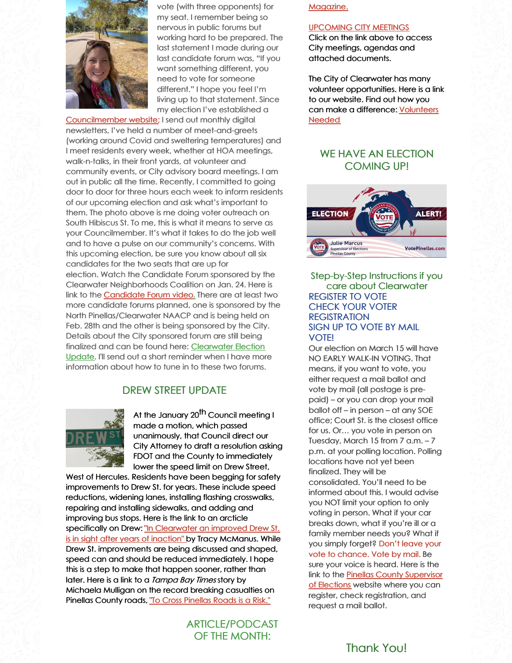

vote (with three opponents) for my seat. I remember being so nervous in public forums but working hard to be prepared. The last statement I made during our last candidate forum was, "If you want something different, you need to vote for someone different." I hope you feel I'm living up to that statement. Since my election I've established a

[Councilmember](https://www.kathleenbeckmanclearwatercitycouncil.com/) website; I send out monthly digital newsletters, I've held a number of meet-and-greets (working around Covid and sweltering temperatures) and I meet residents every week, whether at HOA meetings, walk-n-talks, in their front yards, at volunteer and community events, or City advisory board meetings. I am out in public all the time. Recently, I committed to going door to door for three hours each week to inform residents of our upcoming election and ask what's important to them. The photo above is me doing voter outreach on South Hibiscus St. To me, this is what it means to serve as your Councilmember. It's what it takes to do the job well and to have a pulse on our community's concerns. With this upcoming election, be sure you know about all six candidates for the two seats that are up for election. Watch the Candidate Forum sponsored by the Clearwater Neighborhoods Coalition on Jan. 24. Here is link to the **[Candidate](https://www.youtube.com/watch?v=E8PUG8l7VG8) Forum video**. There are at least two more candidate forums planned, one is sponsored by the North Pinellas/Clearwater NAACP and is being held on Feb. 28th and the other is being sponsored by the City. Details about the City sponsored forum are still being finalized and can be found here: [Clearwater](https://www.myclearwater.com/government/city-departments/city-clerk/municipal-election-candidate-information) Election Update. I'll send out a short reminder when I have more information about how to tune in to these two forums.

## DREW STREET UPDATE



At the January 20<sup>th</sup> Council meeting I made a motion, which passed unanimously, that Council direct our City Attorney to draft a resolution asking FDOT and the County to immediately lower the speed limit on Drew Street,

West of Hercules. Residents have been begging for safety improvements to Drew St. for years. These include speed reductions, widening lanes, installing flashing crosswalks, repairing and installing sidewalks, and adding and improving bus stops. Here is the link to an arcticle specifically on Drew: "In [Clearwater](https://www.tampabay.com/news/clearwater/2021/08/08/in-clearwater-an-improved-drew-street-is-in-sight-after-years-of-inaction/) an improved Drew St. is in sight after years of inaction" by Tracy McManus. While Drew St. improvements are being discussed and shaped, speed can and should be reduced immediately. I hope this is a step to make that happen sooner, rather than later. Here is a link to a *Tampa Bay Times* story by Michaela Mulligan on the record breaking casualties on Pinellas County roads, "To Cross [Pinellas](https://files.constantcontact.com/a4b7cc82801/02e486e4-032b-4fae-a5ba-35f70807393f.pdf) Roads is a Risk."

## ARTICLE/PODCAST OF THE MONTH:

[Magazine.](https://www.myclearwater.com/government/city-departments/public-communications/documents-and-publications/myclearwater-magazine)

#### [UPCOMING](http://clearwater.granicus.com/ViewPublisher.php?view_id=50) CITY MEETINGS

Click on the link above to access City meetings, agendas and attached documents.

The City of Clearwater has many volunteer opportunities. Here is a link to our website. Find out how you can make a [difference:](https://www.myclearwater.com/residents/volunteer) Volunteers Needed

#### WE HAVE AN ELECTION COMING UP!



#### Step-by-Step Instructions if you care about Clearwater REGISTER TO VOTE CHECK YOUR VOTER **REGISTRATION** SIGN UP TO VOTE BY MAIL VOTE!

Our election on March 15 will have NO EARLY WALK-IN VOTING. That means, if you want to vote, you either request a mail ballot and vote by mail (all postage is prepaid) – or you can drop your mail ballot off – in person – at any SOE office; Court St. is the closest office for us. Or… you vote in person on Tuesday, March 15 from 7 a.m. – 7 p.m. at your polling location. Polling locations have not yet been finalized. They will be consolidated. You'll need to be informed about this. I would advise you NOT limit your option to only voting in person. What if your car breaks down, what if you're ill or a family member needs you? What if you simply forget? Don't leave your vote to chance. Vote by mail. Be sure your voice is heard. Here is the link to the Pinellas County [Supervisor](http://votepinellas.com) of Elections website where you can register, check registration, and request a mail ballot.